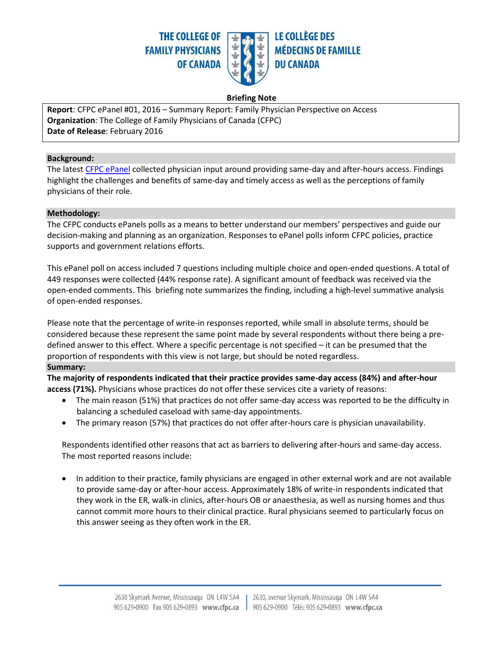

### **Briefing Note**

**Report**: CFPC ePanel #01, 2016 – Summary Report: Family Physician Perspective on Access **Organization**: The College of Family Physicians of Canada (CFPC) **Date of Release**: February 2016

#### **Background:**

The latest [CFPC ePanel](http://www.cfpc.ca/CFPC_ePanel/) collected physician input around providing same-day and after-hours access. Findings highlight the challenges and benefits of same-day and timely access as well as the perceptions of family physicians of their role.

### **Methodology:**

The CFPC conducts ePanels polls as a means to better understand our members' perspectives and guide our decision-making and planning as an organization. Responses to ePanel polls inform CFPC policies, practice supports and government relations efforts.

This ePanel poll on access included 7 questions including multiple choice and open-ended questions. A total of 449 responses were collected (44% response rate). A significant amount of feedback was received via the open-ended comments. This briefing note summarizes the finding, including a high-level summative analysis of open-ended responses.

Please note that the percentage of write-in responses reported, while small in absolute terms, should be considered because these represent the same point made by several respondents without there being a predefined answer to this effect. Where a specific percentage is not specified – it can be presumed that the proportion of respondents with this view is not large, but should be noted regardless.

### **Summary:**

**The majority of respondents indicated that their practice provides same-day access (84%) and after-hour access (71%).** Physicians whose practices do not offer these services cite a variety of reasons:

- The main reason (51%) that practices do not offer same-day access was reported to be the difficulty in balancing a scheduled caseload with same-day appointments.
- The primary reason (57%) that practices do not offer after-hours care is physician unavailability.

Respondents identified other reasons that act as barriers to delivering after-hours and same-day access. The most reported reasons include:

 In addition to their practice, family physicians are engaged in other external work and are not available to provide same-day or after-hour access. Approximately 18% of write-in respondents indicated that they work in the ER, walk-in clinics, after-hours OB or anaesthesia, as well as nursing homes and thus cannot commit more hours to their clinical practice. Rural physicians seemed to particularly focus on this answer seeing as they often work in the ER.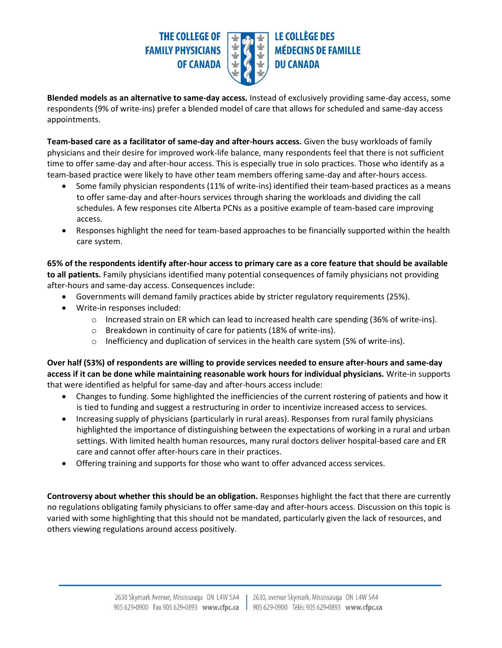### **THE COLLEGE OF FAMILY PHYSICIANS OF CANADA**



# **LE COLLÈGE DES MÉDECINS DE FAMILLE DU CANADA**

**Blended models as an alternative to same-day access.** Instead of exclusively providing same-day access, some respondents (9% of write-ins) prefer a blended model of care that allows for scheduled and same-day access appointments.

**Team-based care as a facilitator of same-day and after-hours access.** Given the busy workloads of family physicians and their desire for improved work-life balance, many respondents feel that there is not sufficient time to offer same-day and after-hour access. This is especially true in solo practices. Those who identify as a team-based practice were likely to have other team members offering same-day and after-hours access.

- Some family physician respondents (11% of write-ins) identified their team-based practices as a means to offer same-day and after-hours services through sharing the workloads and dividing the call schedules. A few responses cite Alberta PCNs as a positive example of team-based care improving access.
- Responses highlight the need for team-based approaches to be financially supported within the health care system.

**65% of the respondents identify after-hour access to primary care as a core feature that should be available to all patients.** Family physicians identified many potential consequences of family physicians not providing after-hours and same-day access. Consequences include:

- Governments will demand family practices abide by stricter regulatory requirements (25%).
- Write-in responses included:
	- o Increased strain on ER which can lead to increased health care spending (36% of write-ins).
	- o Breakdown in continuity of care for patients (18% of write-ins).
	- $\circ$  Inefficiency and duplication of services in the health care system (5% of write-ins).

**Over half (53%) of respondents are willing to provide services needed to ensure after-hours and same-day access if it can be done while maintaining reasonable work hours for individual physicians.** Write-in supports that were identified as helpful for same-day and after-hours access include:

- Changes to funding. Some highlighted the inefficiencies of the current rostering of patients and how it is tied to funding and suggest a restructuring in order to incentivize increased access to services.
- Increasing supply of physicians (particularly in rural areas). Responses from rural family physicians highlighted the importance of distinguishing between the expectations of working in a rural and urban settings. With limited health human resources, many rural doctors deliver hospital-based care and ER care and cannot offer after-hours care in their practices.
- Offering training and supports for those who want to offer advanced access services.

**Controversy about whether this should be an obligation.** Responses highlight the fact that there are currently no regulations obligating family physicians to offer same-day and after-hours access. Discussion on this topic is varied with some highlighting that this should not be mandated, particularly given the lack of resources, and others viewing regulations around access positively.